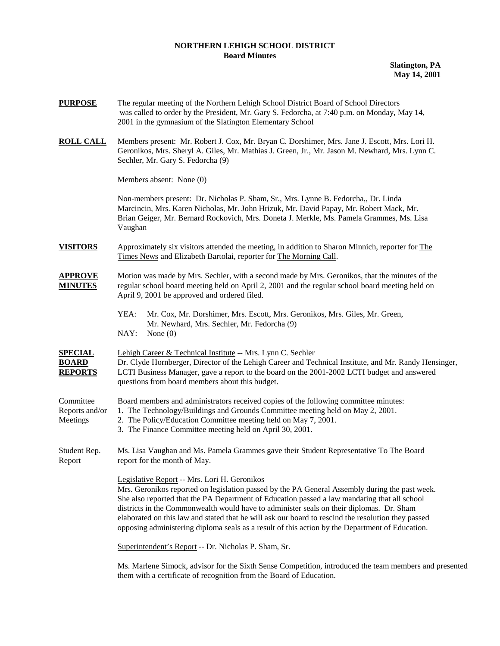## **NORTHERN LEHIGH SCHOOL DISTRICT Board Minutes**

**Slatington, PA May 14, 2001** 

| <b>PURPOSE</b>                                   | The regular meeting of the Northern Lehigh School District Board of School Directors<br>was called to order by the President, Mr. Gary S. Fedorcha, at 7:40 p.m. on Monday, May 14,<br>2001 in the gymnasium of the Slatington Elementary School                                                                                                                                                                                                                                                                                                    |  |  |
|--------------------------------------------------|-----------------------------------------------------------------------------------------------------------------------------------------------------------------------------------------------------------------------------------------------------------------------------------------------------------------------------------------------------------------------------------------------------------------------------------------------------------------------------------------------------------------------------------------------------|--|--|
| <b>ROLL CALL</b>                                 | Members present: Mr. Robert J. Cox, Mr. Bryan C. Dorshimer, Mrs. Jane J. Escott, Mrs. Lori H.<br>Geronikos, Mrs. Sheryl A. Giles, Mr. Mathias J. Green, Jr., Mr. Jason M. Newhard, Mrs. Lynn C.<br>Sechler, Mr. Gary S. Fedorcha (9)                                                                                                                                                                                                                                                                                                                |  |  |
|                                                  | Members absent: None (0)                                                                                                                                                                                                                                                                                                                                                                                                                                                                                                                            |  |  |
|                                                  | Non-members present: Dr. Nicholas P. Sham, Sr., Mrs. Lynne B. Fedorcha,, Dr. Linda<br>Marcincin, Mrs. Karen Nicholas, Mr. John Hrizuk, Mr. David Papay, Mr. Robert Mack, Mr.<br>Brian Geiger, Mr. Bernard Rockovich, Mrs. Doneta J. Merkle, Ms. Pamela Grammes, Ms. Lisa<br>Vaughan                                                                                                                                                                                                                                                                 |  |  |
| <b>VISITORS</b>                                  | Approximately six visitors attended the meeting, in addition to Sharon Minnich, reporter for The<br>Times News and Elizabeth Bartolai, reporter for The Morning Call.                                                                                                                                                                                                                                                                                                                                                                               |  |  |
| <b>APPROVE</b><br><b>MINUTES</b>                 | Motion was made by Mrs. Sechler, with a second made by Mrs. Geronikos, that the minutes of the<br>regular school board meeting held on April 2, 2001 and the regular school board meeting held on<br>April 9, 2001 be approved and ordered filed.                                                                                                                                                                                                                                                                                                   |  |  |
|                                                  | YEA:<br>Mr. Cox, Mr. Dorshimer, Mrs. Escott, Mrs. Geronikos, Mrs. Giles, Mr. Green,<br>Mr. Newhard, Mrs. Sechler, Mr. Fedorcha (9)<br>NAY:<br>None $(0)$                                                                                                                                                                                                                                                                                                                                                                                            |  |  |
| <u>SPECIAL</u><br><b>BOARD</b><br><b>REPORTS</b> | Lehigh Career & Technical Institute -- Mrs. Lynn C. Sechler<br>Dr. Clyde Hornberger, Director of the Lehigh Career and Technical Institute, and Mr. Randy Hensinger,<br>LCTI Business Manager, gave a report to the board on the 2001-2002 LCTI budget and answered<br>questions from board members about this budget.                                                                                                                                                                                                                              |  |  |
| Committee<br>Reports and/or<br>Meetings          | Board members and administrators received copies of the following committee minutes:<br>1. The Technology/Buildings and Grounds Committee meeting held on May 2, 2001.<br>2. The Policy/Education Committee meeting held on May 7, 2001.<br>3. The Finance Committee meeting held on April 30, 2001.                                                                                                                                                                                                                                                |  |  |
| Student Rep.<br>Report                           | Ms. Lisa Vaughan and Ms. Pamela Grammes gave their Student Representative To The Board<br>report for the month of May.                                                                                                                                                                                                                                                                                                                                                                                                                              |  |  |
|                                                  | Legislative Report -- Mrs. Lori H. Geronikos<br>Mrs. Geronikos reported on legislation passed by the PA General Assembly during the past week.<br>She also reported that the PA Department of Education passed a law mandating that all school<br>districts in the Commonwealth would have to administer seals on their diplomas. Dr. Sham<br>elaborated on this law and stated that he will ask our board to rescind the resolution they passed<br>opposing administering diploma seals as a result of this action by the Department of Education. |  |  |
|                                                  | Superintendent's Report -- Dr. Nicholas P. Sham, Sr.                                                                                                                                                                                                                                                                                                                                                                                                                                                                                                |  |  |
|                                                  | Ms. Marlene Simock, advisor for the Sixth Sense Competition, introduced the team members and presented                                                                                                                                                                                                                                                                                                                                                                                                                                              |  |  |

them with a certificate of recognition from the Board of Education.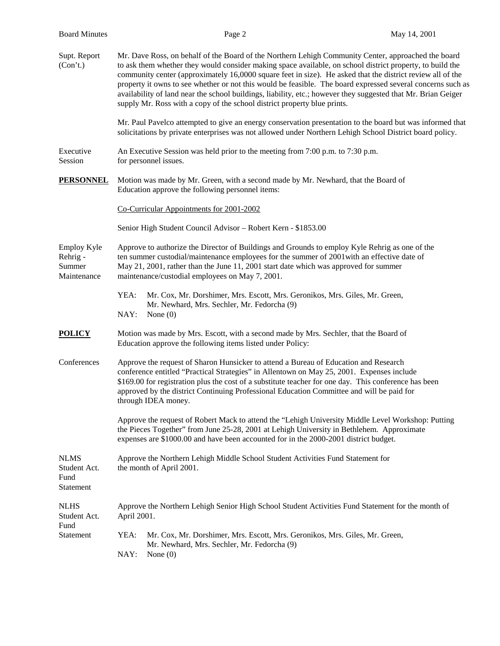|                                                         | Page 2                                                                                                                                                                                                                                                                                                                                                                                                                                                                                                                                                                                                                                     |                                                                                                                                                                                                                                                                                                                                                                                         |              |  |
|---------------------------------------------------------|--------------------------------------------------------------------------------------------------------------------------------------------------------------------------------------------------------------------------------------------------------------------------------------------------------------------------------------------------------------------------------------------------------------------------------------------------------------------------------------------------------------------------------------------------------------------------------------------------------------------------------------------|-----------------------------------------------------------------------------------------------------------------------------------------------------------------------------------------------------------------------------------------------------------------------------------------------------------------------------------------------------------------------------------------|--------------|--|
| <b>Board Minutes</b>                                    |                                                                                                                                                                                                                                                                                                                                                                                                                                                                                                                                                                                                                                            |                                                                                                                                                                                                                                                                                                                                                                                         | May 14, 2001 |  |
| Supt. Report<br>(Con't.)                                | Mr. Dave Ross, on behalf of the Board of the Northern Lehigh Community Center, approached the board<br>to ask them whether they would consider making space available, on school district property, to build the<br>community center (approximately 16,0000 square feet in size). He asked that the district review all of the<br>property it owns to see whether or not this would be feasible. The board expressed several concerns such as<br>availability of land near the school buildings, liability, etc.; however they suggested that Mr. Brian Geiger<br>supply Mr. Ross with a copy of the school district property blue prints. |                                                                                                                                                                                                                                                                                                                                                                                         |              |  |
|                                                         |                                                                                                                                                                                                                                                                                                                                                                                                                                                                                                                                                                                                                                            | Mr. Paul Pavelco attempted to give an energy conservation presentation to the board but was informed that<br>solicitations by private enterprises was not allowed under Northern Lehigh School District board policy.                                                                                                                                                                   |              |  |
| Executive<br>Session                                    | An Executive Session was held prior to the meeting from 7:00 p.m. to 7:30 p.m.<br>for personnel issues.                                                                                                                                                                                                                                                                                                                                                                                                                                                                                                                                    |                                                                                                                                                                                                                                                                                                                                                                                         |              |  |
| <b>PERSONNEL</b>                                        | Education approve the following personnel items:                                                                                                                                                                                                                                                                                                                                                                                                                                                                                                                                                                                           | Motion was made by Mr. Green, with a second made by Mr. Newhard, that the Board of                                                                                                                                                                                                                                                                                                      |              |  |
|                                                         | Co-Curricular Appointments for 2001-2002                                                                                                                                                                                                                                                                                                                                                                                                                                                                                                                                                                                                   |                                                                                                                                                                                                                                                                                                                                                                                         |              |  |
|                                                         | Senior High Student Council Advisor - Robert Kern - \$1853.00                                                                                                                                                                                                                                                                                                                                                                                                                                                                                                                                                                              |                                                                                                                                                                                                                                                                                                                                                                                         |              |  |
| <b>Employ Kyle</b><br>Rehrig -<br>Summer<br>Maintenance | Approve to authorize the Director of Buildings and Grounds to employ Kyle Rehrig as one of the<br>ten summer custodial/maintenance employees for the summer of 2001 with an effective date of<br>May 21, 2001, rather than the June 11, 2001 start date which was approved for summer<br>maintenance/custodial employees on May 7, 2001.                                                                                                                                                                                                                                                                                                   |                                                                                                                                                                                                                                                                                                                                                                                         |              |  |
|                                                         | YEA:<br>Mr. Newhard, Mrs. Sechler, Mr. Fedorcha (9)<br>NAY:<br>None $(0)$                                                                                                                                                                                                                                                                                                                                                                                                                                                                                                                                                                  | Mr. Cox, Mr. Dorshimer, Mrs. Escott, Mrs. Geronikos, Mrs. Giles, Mr. Green,                                                                                                                                                                                                                                                                                                             |              |  |
| <b>POLICY</b>                                           | Motion was made by Mrs. Escott, with a second made by Mrs. Sechler, that the Board of<br>Education approve the following items listed under Policy:                                                                                                                                                                                                                                                                                                                                                                                                                                                                                        |                                                                                                                                                                                                                                                                                                                                                                                         |              |  |
| Conferences                                             | through IDEA money.                                                                                                                                                                                                                                                                                                                                                                                                                                                                                                                                                                                                                        | Approve the request of Sharon Hunsicker to attend a Bureau of Education and Research<br>conference entitled "Practical Strategies" in Allentown on May 25, 2001. Expenses include<br>\$169.00 for registration plus the cost of a substitute teacher for one day. This conference has been<br>approved by the district Continuing Professional Education Committee and will be paid for |              |  |
|                                                         |                                                                                                                                                                                                                                                                                                                                                                                                                                                                                                                                                                                                                                            | Approve the request of Robert Mack to attend the "Lehigh University Middle Level Workshop: Putting<br>the Pieces Together" from June 25-28, 2001 at Lehigh University in Bethlehem. Approximate<br>expenses are \$1000.00 and have been accounted for in the 2000-2001 district budget.                                                                                                 |              |  |
| <b>NLMS</b><br>Student Act.<br>Fund<br>Statement        | Approve the Northern Lehigh Middle School Student Activities Fund Statement for<br>the month of April 2001.                                                                                                                                                                                                                                                                                                                                                                                                                                                                                                                                |                                                                                                                                                                                                                                                                                                                                                                                         |              |  |
| <b>NLHS</b><br>Student Act.                             | April 2001.                                                                                                                                                                                                                                                                                                                                                                                                                                                                                                                                                                                                                                | Approve the Northern Lehigh Senior High School Student Activities Fund Statement for the month of                                                                                                                                                                                                                                                                                       |              |  |
| Fund<br>Statement                                       | YEA:<br>Mr. Newhard, Mrs. Sechler, Mr. Fedorcha (9)                                                                                                                                                                                                                                                                                                                                                                                                                                                                                                                                                                                        | Mr. Cox, Mr. Dorshimer, Mrs. Escott, Mrs. Geronikos, Mrs. Giles, Mr. Green,                                                                                                                                                                                                                                                                                                             |              |  |

NAY: None (0)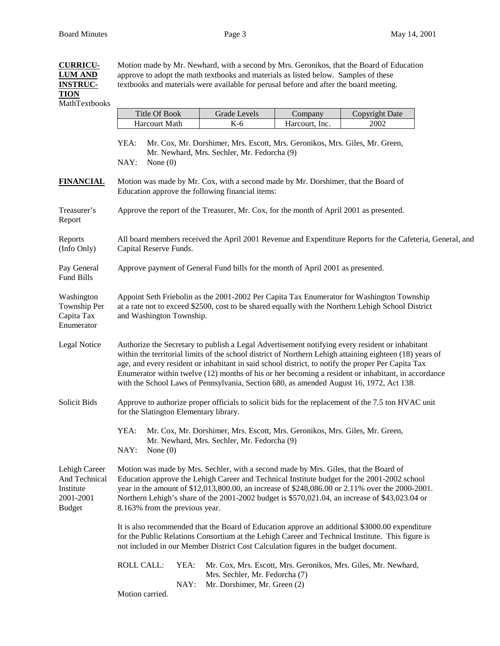**CURRICU-** Motion made by Mr. Newhard, with a second by Mrs. Geronikos, that the Board of Education

## **LUM AND** approve to adopt the math textbooks and materials as listed below. Samples of these **INSTRUC-** textbooks and materials were available for perusal before and after the board meeting. **TION** MathTextbooks Title Of Book Grade Levels Company Copyright Date Harcourt Math | K-6 | Harcourt, Inc. | 2002 YEA: Mr. Cox, Mr. Dorshimer, Mrs. Escott, Mrs. Geronikos, Mrs. Giles, Mr. Green, Mr. Newhard, Mrs. Sechler, Mr. Fedorcha (9) NAY: None (0) **FINANCIAL** Motion was made by Mr. Cox, with a second made by Mr. Dorshimer, that the Board of Education approve the following financial items: Treasurer's Approve the report of the Treasurer, Mr. Cox, for the month of April 2001 as presented. Report Reports All board members received the April 2001 Revenue and Expenditure Reports for the Cafeteria, General, and (Info Only) Capital Reserve Funds. Pay General Approve payment of General Fund bills for the month of April 2001 as presented. Fund Bills Washington Appoint Seth Friebolin as the 2001-2002 Per Capita Tax Enumerator for Washington Township Township Per at a rate not to exceed \$2500, cost to be shared equally with the Northern Lehigh School District Capita Tax and Washington Township. Enumerator Legal Notice Authorize the Secretary to publish a Legal Advertisement notifying every resident or inhabitant within the territorial limits of the school district of Northern Lehigh attaining eighteen (18) years of age, and every resident or inhabitant in said school district, to notify the proper Per Capita Tax Enumerator within twelve (12) months of his or her becoming a resident or inhabitant, in accordance with the School Laws of Pennsylvania, Section 680, as amended August 16, 1972, Act 138. Solicit Bids Approve to authorize proper officials to solicit bids for the replacement of the 7.5 ton HVAC unit for the Slatington Elementary library. YEA: Mr. Cox, Mr. Dorshimer, Mrs. Escott, Mrs. Geronikos, Mrs. Giles, Mr. Green, Mr. Newhard, Mrs. Sechler, Mr. Fedorcha (9) NAY: None (0) Lehigh Career Motion was made by Mrs. Sechler, with a second made by Mrs. Giles, that the Board of And Technical Education approve the Lehigh Career and Technical Institute budget for the 2001-2002 school Institute year in the amount of \$12,013,800.00, an increase of \$248,086.00 or 2.11% over the 2000-2001. 2001-2001 Northern Lehigh's share of the 2001-2002 budget is \$570,021.04, an increase of \$43,023.04 or Budget 8.163% from the previous year. It is also recommended that the Board of Education approve an additional \$3000.00 expenditure for the Public Relations Consortium at the Lehigh Career and Technical Institute. This figure is not included in our Member District Cost Calculation figures in the budget document. ROLL CALL: YEA: Mr. Cox, Mrs. Escott, Mrs. Geronikos, Mrs. Giles, Mr. Newhard, Mrs. Sechler, Mr. Fedorcha (7) NAY: Mr. Dorshimer, Mr. Green (2) Motion carried.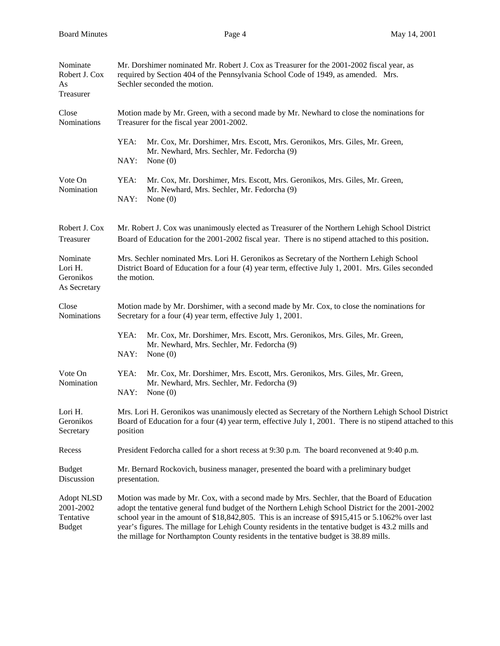| Nominate<br>Robert J. Cox<br>As<br>Treasurer                 | Mr. Dorshimer nominated Mr. Robert J. Cox as Treasurer for the 2001-2002 fiscal year, as<br>required by Section 404 of the Pennsylvania School Code of 1949, as amended. Mrs.<br>Sechler seconded the motion.                                                                                                                                                                                                                                                                                    |  |  |  |
|--------------------------------------------------------------|--------------------------------------------------------------------------------------------------------------------------------------------------------------------------------------------------------------------------------------------------------------------------------------------------------------------------------------------------------------------------------------------------------------------------------------------------------------------------------------------------|--|--|--|
| Close<br>Nominations                                         | Motion made by Mr. Green, with a second made by Mr. Newhard to close the nominations for<br>Treasurer for the fiscal year 2001-2002.                                                                                                                                                                                                                                                                                                                                                             |  |  |  |
|                                                              | YEA:<br>Mr. Cox, Mr. Dorshimer, Mrs. Escott, Mrs. Geronikos, Mrs. Giles, Mr. Green,<br>Mr. Newhard, Mrs. Sechler, Mr. Fedorcha (9)<br>NAY:<br>None $(0)$                                                                                                                                                                                                                                                                                                                                         |  |  |  |
| Vote On<br>Nomination                                        | YEA:<br>Mr. Cox, Mr. Dorshimer, Mrs. Escott, Mrs. Geronikos, Mrs. Giles, Mr. Green,<br>Mr. Newhard, Mrs. Sechler, Mr. Fedorcha (9)<br>NAY:<br>None $(0)$                                                                                                                                                                                                                                                                                                                                         |  |  |  |
| Robert J. Cox<br>Treasurer                                   | Mr. Robert J. Cox was unanimously elected as Treasurer of the Northern Lehigh School District<br>Board of Education for the 2001-2002 fiscal year. There is no stipend attached to this position.                                                                                                                                                                                                                                                                                                |  |  |  |
| Nominate<br>Lori H.<br>Geronikos<br>As Secretary             | Mrs. Sechler nominated Mrs. Lori H. Geronikos as Secretary of the Northern Lehigh School<br>District Board of Education for a four (4) year term, effective July 1, 2001. Mrs. Giles seconded<br>the motion.                                                                                                                                                                                                                                                                                     |  |  |  |
| Close<br>Nominations                                         | Motion made by Mr. Dorshimer, with a second made by Mr. Cox, to close the nominations for<br>Secretary for a four (4) year term, effective July 1, 2001.                                                                                                                                                                                                                                                                                                                                         |  |  |  |
|                                                              | YEA:<br>Mr. Cox, Mr. Dorshimer, Mrs. Escott, Mrs. Geronikos, Mrs. Giles, Mr. Green,<br>Mr. Newhard, Mrs. Sechler, Mr. Fedorcha (9)<br>NAY:<br>None $(0)$                                                                                                                                                                                                                                                                                                                                         |  |  |  |
| Vote On<br>Nomination                                        | YEA:<br>Mr. Cox, Mr. Dorshimer, Mrs. Escott, Mrs. Geronikos, Mrs. Giles, Mr. Green,<br>Mr. Newhard, Mrs. Sechler, Mr. Fedorcha (9)<br>NAY:<br>None $(0)$                                                                                                                                                                                                                                                                                                                                         |  |  |  |
| Lori H.<br>Geronikos<br>Secretary                            | Mrs. Lori H. Geronikos was unanimously elected as Secretary of the Northern Lehigh School District<br>Board of Education for a four (4) year term, effective July 1, 2001. There is no stipend attached to this<br>position                                                                                                                                                                                                                                                                      |  |  |  |
| Recess                                                       | President Fedorcha called for a short recess at 9:30 p.m. The board reconvened at 9:40 p.m.                                                                                                                                                                                                                                                                                                                                                                                                      |  |  |  |
| <b>Budget</b><br>Discussion                                  | Mr. Bernard Rockovich, business manager, presented the board with a preliminary budget<br>presentation.                                                                                                                                                                                                                                                                                                                                                                                          |  |  |  |
| <b>Adopt NLSD</b><br>2001-2002<br>Tentative<br><b>Budget</b> | Motion was made by Mr. Cox, with a second made by Mrs. Sechler, that the Board of Education<br>adopt the tentative general fund budget of the Northern Lehigh School District for the 2001-2002<br>school year in the amount of \$18,842,805. This is an increase of \$915,415 or 5.1062% over last<br>year's figures. The millage for Lehigh County residents in the tentative budget is 43.2 mills and<br>the millage for Northampton County residents in the tentative budget is 38.89 mills. |  |  |  |